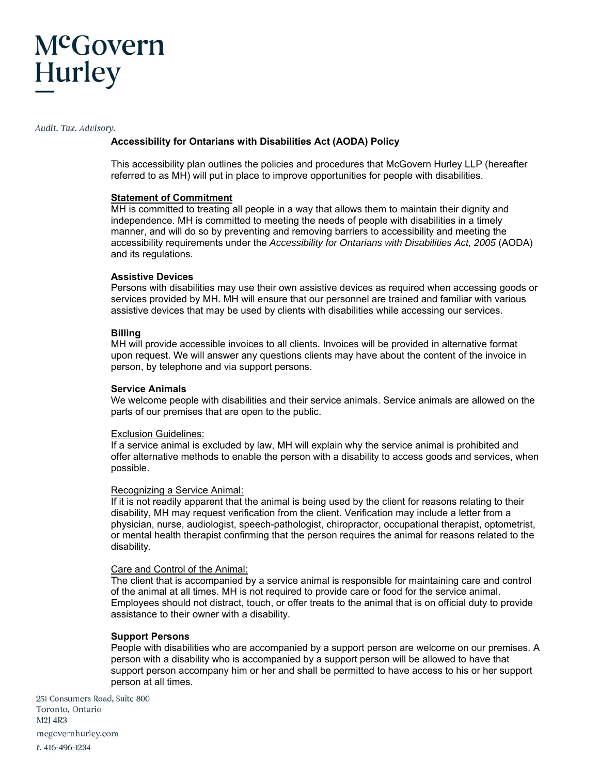#### Audit. Tax. Advisory.

# **Accessibility for Ontarians with Disabilities Act (AODA) Policy**

This accessibility plan outlines the policies and procedures that McGovern Hurley LLP (hereafter referred to as MH) will put in place to improve opportunities for people with disabilities.

### **Statement of Commitment**

MH is committed to treating all people in a way that allows them to maintain their dignity and independence. MH is committed to meeting the needs of people with disabilities in a timely manner, and will do so by preventing and removing barriers to accessibility and meeting the accessibility requirements under the *Accessibility for Ontarians with Disabilities Act, 2005* (AODA) and its regulations.

## **Assistive Devices**

Persons with disabilities may use their own assistive devices as required when accessing goods or services provided by MH. MH will ensure that our personnel are trained and familiar with various assistive devices that may be used by clients with disabilities while accessing our services.

### **Billing**

MH will provide accessible invoices to all clients. Invoices will be provided in alternative format upon request. We will answer any questions clients may have about the content of the invoice in person, by telephone and via support persons.

#### **Service Animals**

We welcome people with disabilities and their service animals. Service animals are allowed on the parts of our premises that are open to the public.

#### Exclusion Guidelines:

If a service animal is excluded by law, MH will explain why the service animal is prohibited and offer alternative methods to enable the person with a disability to access goods and services, when possible.

#### Recognizing a Service Animal:

If it is not readily apparent that the animal is being used by the client for reasons relating to their disability, MH may request verification from the client. Verification may include a letter from a physician, nurse, audiologist, speech-pathologist, chiropractor, occupational therapist, optometrist, or mental health therapist confirming that the person requires the animal for reasons related to the disability.

#### Care and Control of the Animal:

The client that is accompanied by a service animal is responsible for maintaining care and control of the animal at all times. MH is not required to provide care or food for the service animal. Employees should not distract, touch, or offer treats to the animal that is on official duty to provide assistance to their owner with a disability.

#### **Support Persons**

People with disabilities who are accompanied by a support person are welcome on our premises. A person with a disability who is accompanied by a support person will be allowed to have that support person accompany him or her and shall be permitted to have access to his or her support person at all times.

251 Consumers Road, Suite 800 Toronto, Ontario M2J 4R3 mcgovernhurley.com t. 416-496-1234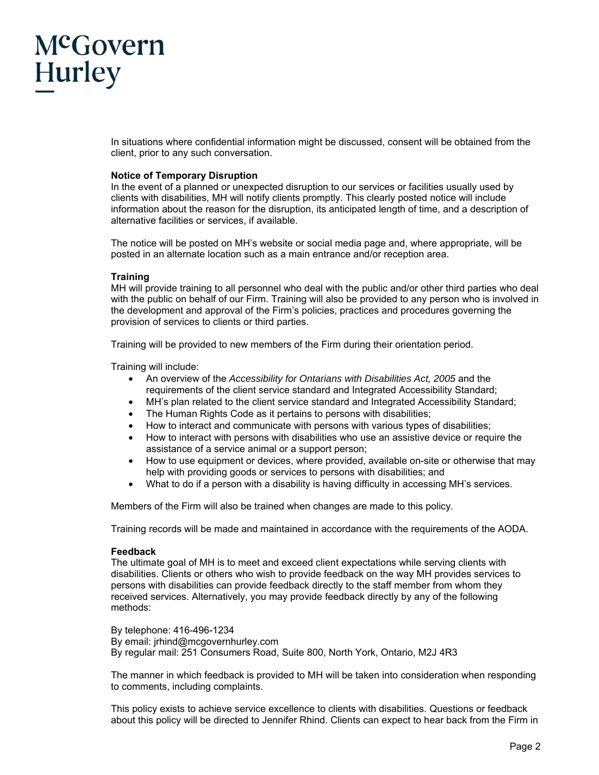In situations where confidential information might be discussed, consent will be obtained from the client, prior to any such conversation.

## **Notice of Temporary Disruption**

In the event of a planned or unexpected disruption to our services or facilities usually used by clients with disabilities, MH will notify clients promptly. This clearly posted notice will include information about the reason for the disruption, its anticipated length of time, and a description of alternative facilities or services, if available.

The notice will be posted on MH's website or social media page and, where appropriate, will be posted in an alternate location such as a main entrance and/or reception area.

## **Training**

MH will provide training to all personnel who deal with the public and/or other third parties who deal with the public on behalf of our Firm. Training will also be provided to any person who is involved in the development and approval of the Firm's policies, practices and procedures governing the provision of services to clients or third parties.

Training will be provided to new members of the Firm during their orientation period.

Training will include:

- An overview of the *Accessibility for Ontarians with Disabilities Act, 2005* and the requirements of the client service standard and Integrated Accessibility Standard;
- MH's plan related to the client service standard and Integrated Accessibility Standard;
- The Human Rights Code as it pertains to persons with disabilities;
- How to interact and communicate with persons with various types of disabilities;
- How to interact with persons with disabilities who use an assistive device or require the assistance of a service animal or a support person;
- How to use equipment or devices, where provided, available on-site or otherwise that may help with providing goods or services to persons with disabilities; and
- What to do if a person with a disability is having difficulty in accessing MH's services.

Members of the Firm will also be trained when changes are made to this policy.

Training records will be made and maintained in accordance with the requirements of the AODA.

## **Feedback**

The ultimate goal of MH is to meet and exceed client expectations while serving clients with disabilities. Clients or others who wish to provide feedback on the way MH provides services to persons with disabilities can provide feedback directly to the staff member from whom they received services. Alternatively, you may provide feedback directly by any of the following methods:

By telephone: 416-496-1234 By email: jrhind@mcgovernhurley.com By regular mail: 251 Consumers Road, Suite 800, North York, Ontario, M2J 4R3

The manner in which feedback is provided to MH will be taken into consideration when responding to comments, including complaints.

This policy exists to achieve service excellence to clients with disabilities. Questions or feedback about this policy will be directed to Jennifer Rhind. Clients can expect to hear back from the Firm in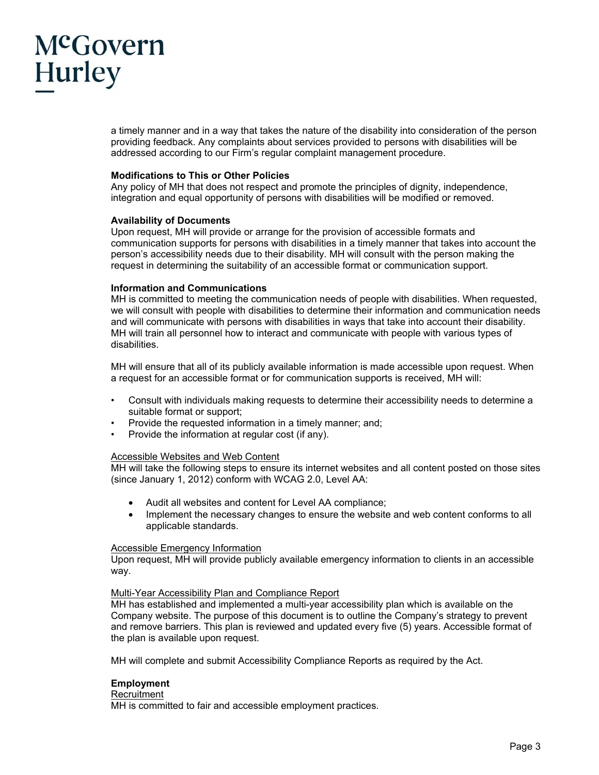a timely manner and in a way that takes the nature of the disability into consideration of the person providing feedback. Any complaints about services provided to persons with disabilities will be addressed according to our Firm's regular complaint management procedure.

## **Modifications to This or Other Policies**

Any policy of MH that does not respect and promote the principles of dignity, independence, integration and equal opportunity of persons with disabilities will be modified or removed.

## **Availability of Documents**

Upon request, MH will provide or arrange for the provision of accessible formats and communication supports for persons with disabilities in a timely manner that takes into account the person's accessibility needs due to their disability. MH will consult with the person making the request in determining the suitability of an accessible format or communication support.

### **Information and Communications**

MH is committed to meeting the communication needs of people with disabilities. When requested, we will consult with people with disabilities to determine their information and communication needs and will communicate with persons with disabilities in ways that take into account their disability. MH will train all personnel how to interact and communicate with people with various types of disabilities.

MH will ensure that all of its publicly available information is made accessible upon request. When a request for an accessible format or for communication supports is received, MH will:

- Consult with individuals making requests to determine their accessibility needs to determine a suitable format or support;
- Provide the requested information in a timely manner; and;
- Provide the information at regular cost (if any).

## Accessible Websites and Web Content

MH will take the following steps to ensure its internet websites and all content posted on those sites (since January 1, 2012) conform with WCAG 2.0, Level AA:

- Audit all websites and content for Level AA compliance;
- Implement the necessary changes to ensure the website and web content conforms to all applicable standards.

# Accessible Emergency Information

Upon request, MH will provide publicly available emergency information to clients in an accessible way.

#### Multi-Year Accessibility Plan and Compliance Report

MH has established and implemented a multi-year accessibility plan which is available on the Company website. The purpose of this document is to outline the Company's strategy to prevent and remove barriers. This plan is reviewed and updated every five (5) years. Accessible format of the plan is available upon request.

MH will complete and submit Accessibility Compliance Reports as required by the Act.

## **Employment**

## **Recruitment**

MH is committed to fair and accessible employment practices.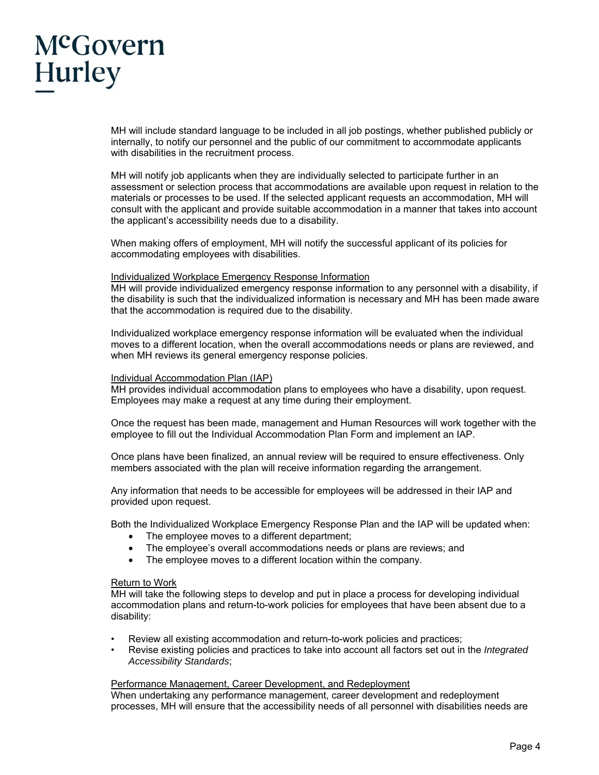MH will include standard language to be included in all job postings, whether published publicly or internally, to notify our personnel and the public of our commitment to accommodate applicants with disabilities in the recruitment process.

MH will notify job applicants when they are individually selected to participate further in an assessment or selection process that accommodations are available upon request in relation to the materials or processes to be used. If the selected applicant requests an accommodation, MH will consult with the applicant and provide suitable accommodation in a manner that takes into account the applicant's accessibility needs due to a disability.

When making offers of employment, MH will notify the successful applicant of its policies for accommodating employees with disabilities.

### Individualized Workplace Emergency Response Information

MH will provide individualized emergency response information to any personnel with a disability, if the disability is such that the individualized information is necessary and MH has been made aware that the accommodation is required due to the disability.

Individualized workplace emergency response information will be evaluated when the individual moves to a different location, when the overall accommodations needs or plans are reviewed, and when MH reviews its general emergency response policies.

#### Individual Accommodation Plan (IAP)

MH provides individual accommodation plans to employees who have a disability, upon request. Employees may make a request at any time during their employment.

Once the request has been made, management and Human Resources will work together with the employee to fill out the Individual Accommodation Plan Form and implement an IAP.

Once plans have been finalized, an annual review will be required to ensure effectiveness. Only members associated with the plan will receive information regarding the arrangement.

Any information that needs to be accessible for employees will be addressed in their IAP and provided upon request.

Both the Individualized Workplace Emergency Response Plan and the IAP will be updated when:

- The employee moves to a different department;
- The employee's overall accommodations needs or plans are reviews; and
- The employee moves to a different location within the company.

#### Return to Work

MH will take the following steps to develop and put in place a process for developing individual accommodation plans and return-to-work policies for employees that have been absent due to a disability:

- Review all existing accommodation and return-to-work policies and practices;
- Revise existing policies and practices to take into account all factors set out in the *Integrated Accessibility Standards*;

#### Performance Management, Career Development, and Redeployment

When undertaking any performance management, career development and redeployment processes, MH will ensure that the accessibility needs of all personnel with disabilities needs are